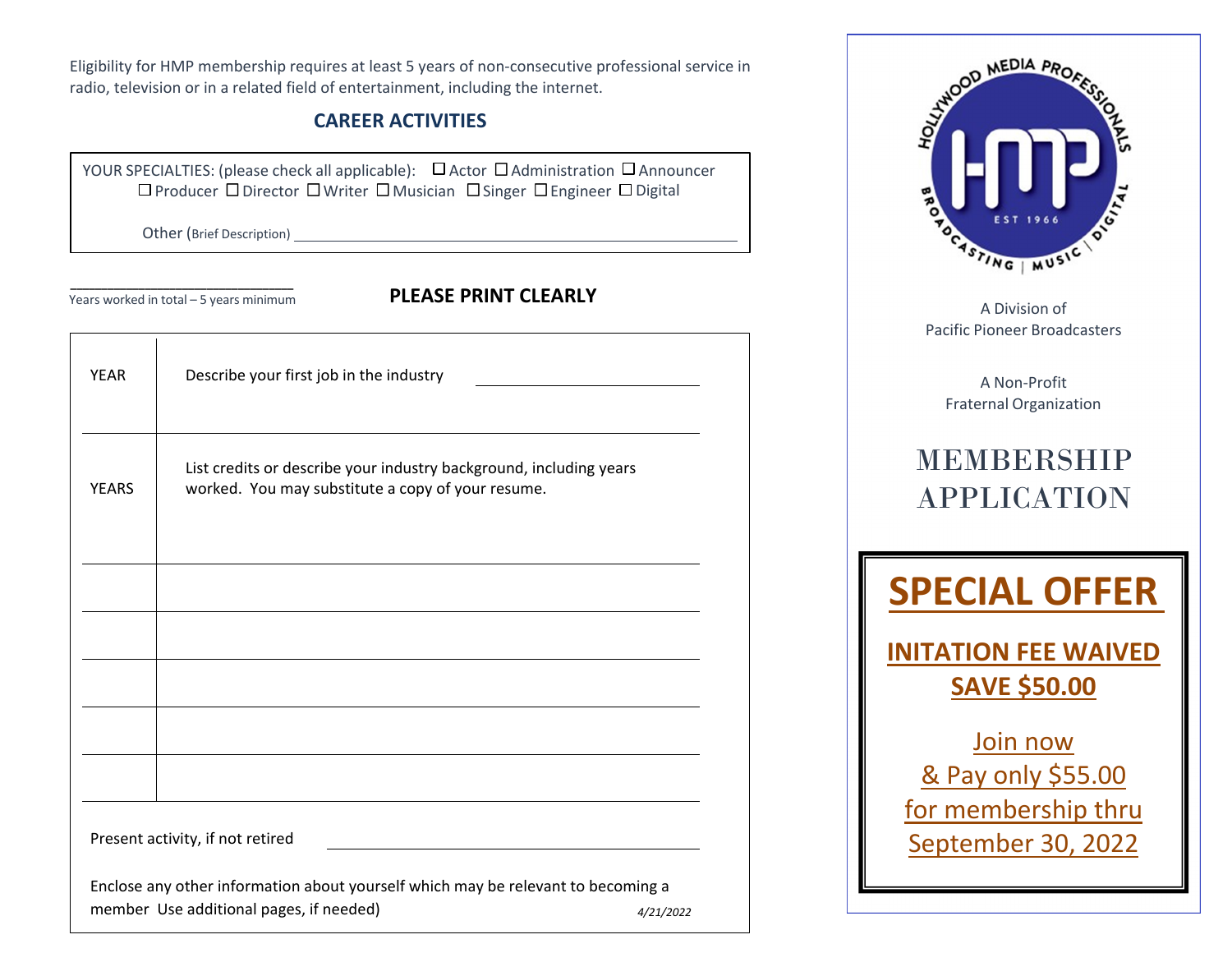Eligibility for HMP membership requires at least 5 years of non‐consecutive professional service in radio, television or in <sup>a</sup> related field of entertainment, including the internet.

## **CAREER ACTIVITIES**

YOUR SPECIALTIES: (please check all applicable): 凵 Actor U Administration U Announcer Producer □ Director □ Writer □ Musician □ Singer □ Engineer □ Digital

Other (Brief Description)

**\_\_\_\_\_\_\_\_\_\_\_\_\_\_\_\_\_\_\_\_\_\_\_\_\_\_\_\_\_\_\_\_\_\_\_\_** Years worked in total – 5 years minimum **PLEASE PRINT CLEARLY**

| <b>YEAR</b>  | Describe your first job in the industry                                                                                 |
|--------------|-------------------------------------------------------------------------------------------------------------------------|
| <b>YEARS</b> | List credits or describe your industry background, including years<br>worked. You may substitute a copy of your resume. |
|              |                                                                                                                         |
|              |                                                                                                                         |
|              |                                                                                                                         |
|              |                                                                                                                         |
|              |                                                                                                                         |
|              | Present activity, if not retired                                                                                        |
|              | Enclose any other information about yourself which may be relevant to becoming a                                        |
|              | member Use additional pages, if needed)<br>4/21/2022                                                                    |



A Division of Pacific Pioneer Broadcasters

> A Non‐Profit Fraternal Organization

## MEMBERSHIP APPLICATION



**INITATION FEE WAIVED SAVE \$50.00**

Join now & Pay only \$55.00 for membership thru September 30, 2022